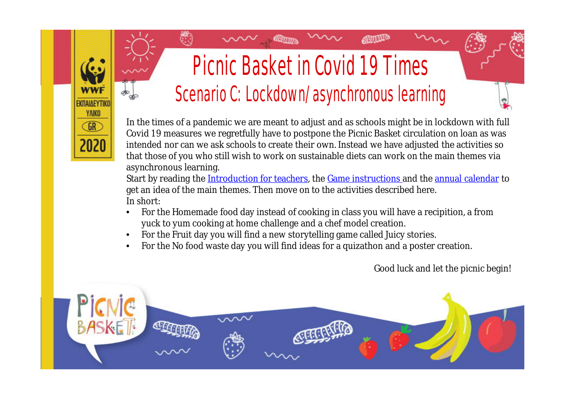#### Picnic Basket in Covid 19 Times Scenario C: Lockdown/asynchronous learning

**ATHLEP** 

In the times of a pandemic we are meant to adjust and as schools might be in lockdown with full Covid 19 measures we regretfully have to postpone the Picnic Basket circulation on loan as was intended nor can we ask schools to create their own. Instead we have adjusted the activities so that those of you who still wish to work on sustainable diets can work on the main themes via asynchronous learning.

Start by reading the [Introduction for teachers,](https://wwfeu.awsassets.panda.org/downloads/2020_edu_greece_food_educationpack_picnicbasketintroductionforteachers_english.pdf) the [Game instructions](https://wwfeu.awsassets.panda.org/downloads/2020_edu_greece_food_educationpack_picnicbasketgameinstructions_english.pdf) and the [annual calendar](https://wwfeu.awsassets.panda.org/downloads/2020_edu_greece_food_picnicbasketeducationmaterial_annualcalendar_english.pdf) to get an idea of the main themes. Then move on to the activities described here. In short:

- For the Homemade food day instead of cooking in class you will have a recipition, a from yuck to yum cooking at home challenge and a chef model creation.
- For the Fruit day you will find a new storytelling game called Juicy stories.

EKDAIAEYTH **YAIKO**  $GR$ 

• For the No food waste day you will find ideas for a quizathon and a poster creation.



Good luck and let the picnic begin!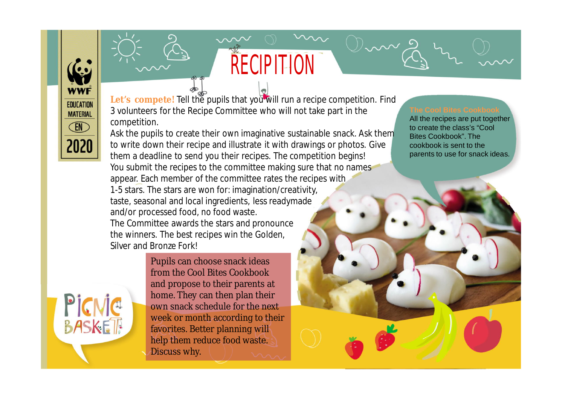PicNic

BASKET

Let's compete! Tell the pupils that you will run a recipe competition. Find 3 volunteers for the Recipe Committee who will not take part in the competition.

RECIPITION

Ask the pupils to create their own imaginative sustainable snack. Ask them to write down their recipe and illustrate it with drawings or photos. Give them a deadline to send you their recipes. The competition begins! You submit the recipes to the committee making sure that no names appear. Each member of the committee rates the recipes with 1-5 stars. The stars are won for: imagination/creativity, taste, seasonal and local ingredients, less readymade and/or processed food, no food waste. The Committee awards the stars and pronounce the winners. The best recipes win the Golden, Silver and Bronze Fork!

> Pupils can choose snack ideas from the Cool Bites Cookbook and propose to their parents at home. They can then plan their own snack schedule for the next week or month according to their favorites. Better planning will help them reduce food waste. Discuss why.

All the recipes are put together to create the class's "Cool Bites Cookbook". The cookbook is sent to the parents to use for snack ideas.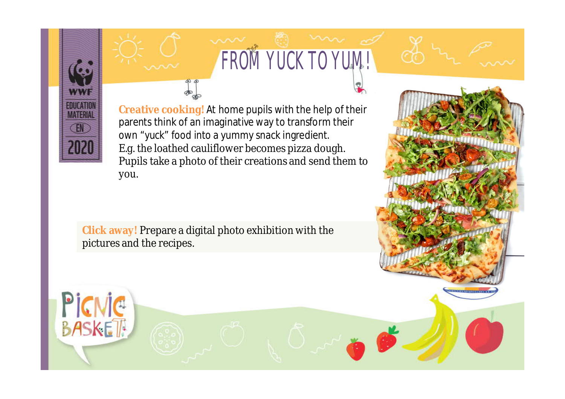

PICNIC

## FROM YUCK TO YUM!

**Creative cooking!** At home pupils with the help of their parents think of an imaginative way to transform their own "yuck" food into a yummy snack ingredient. E.g. the loathed cauliflower becomes pizza dough. Pupils take a photo of their creations and send them to you.

**Click away!** Prepare a digital photo exhibition with the pictures and the recipes.

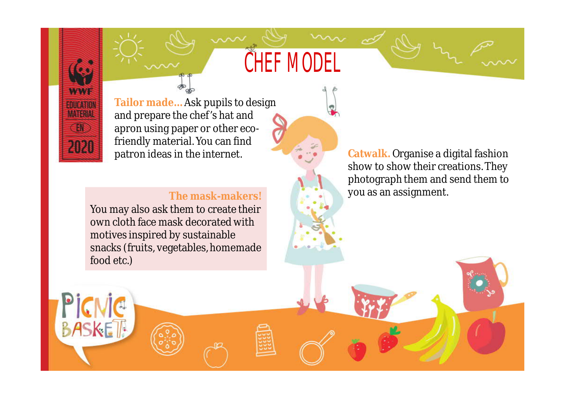### CHEF MODEL

**WWW FOUCATION MATERIA** EN 2020

**BASKET** 

**Tailor made…** Ask pupils to design and prepare the chef's hat and apron using paper or other ecofriendly material. You can find patron ideas in the internet.

#### **The mask-makers!**

You may also ask them to create their own cloth face mask decorated with motives inspired by sustainable snacks (fruits, vegetables, homemade food etc.)

**Catwalk.** Organise a digital fashion show to show their creations. They photograph them and send them to you as an assignment.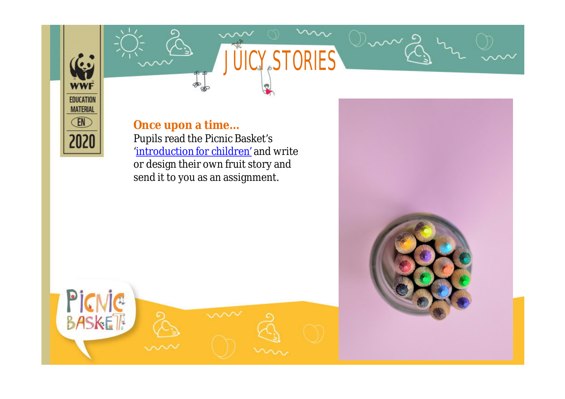

# JUICY, STORIES

**Once upon a time…** Pupils read the Picnic Basket's ['introduction for children'](https://wwfeu.awsassets.panda.org/downloads/2020_edu_greece_food_educationpack_picnicbasketintroductionforchildren_english.pdf) and write or design their own fruit story and send it to you as an assignment.